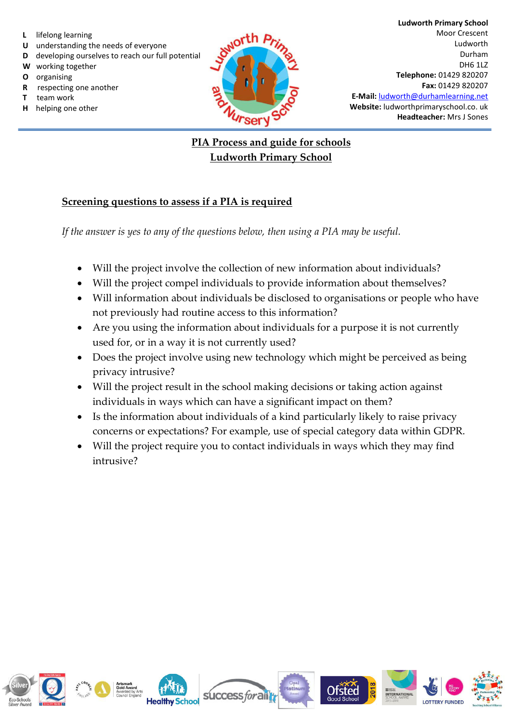- **L** lifelong learning
- **U** understanding the needs of everyone
- **D** developing ourselves to reach our full potential
- **W** working together
- **O** organising
- **R** respecting one another
- **T** team work
- **H** helping one other



## **PIA Process and guide for schools Ludworth Primary School**

## **Screening questions to assess if a PIA is required**

*If the answer is yes to any of the questions below, then using a PIA may be useful.*

- Will the project involve the collection of new information about individuals?
- Will the project compel individuals to provide information about themselves?
- Will information about individuals be disclosed to organisations or people who have not previously had routine access to this information?
- Are you using the information about individuals for a purpose it is not currently used for, or in a way it is not currently used?
- Does the project involve using new technology which might be perceived as being privacy intrusive?
- Will the project result in the school making decisions or taking action against individuals in ways which can have a significant impact on them?
- Is the information about individuals of a kind particularly likely to raise privacy concerns or expectations? For example, use of special category data within GDPR.
- Will the project require you to contact individuals in ways which they may find intrusive?

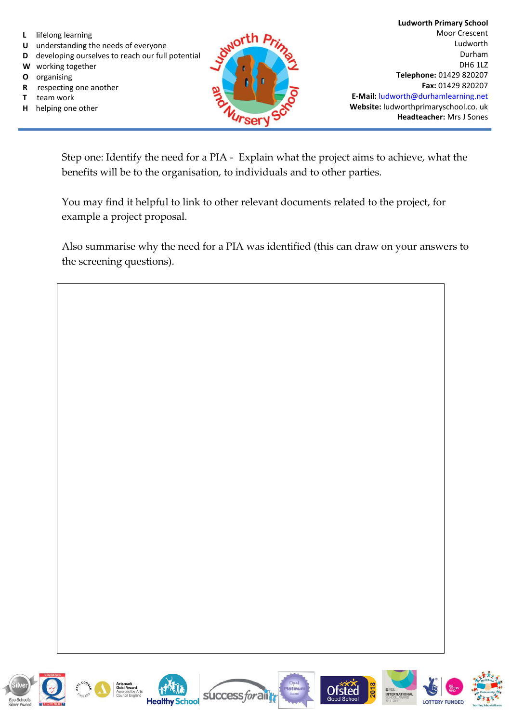- **L** lifelong learning
- **U** understanding the needs of everyone
- **D** developing ourselves to reach our full potential
- **W** working together
- **O** organising
- **R** respecting one another
- **T** team work
- **H** helping one other



Step one: Identify the need for a PIA - Explain what the project aims to achieve, what the benefits will be to the organisation, to individuals and to other parties.

You may find it helpful to link to other relevant documents related to the project, for example a project proposal.

Also summarise why the need for a PIA was identified (this can draw on your answers to the screening questions).











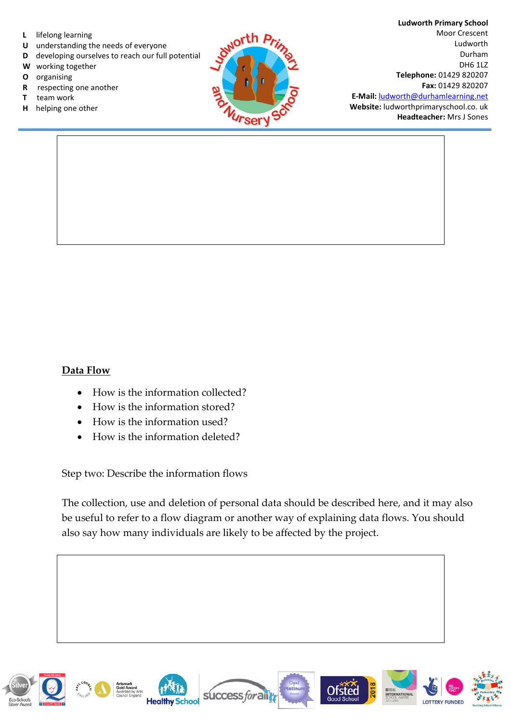- **L** lifelong learning
- **U** understanding the needs of everyone
- **D** developing ourselves to reach our full potential
- **W** working together
- **O** organising
- **R** respecting one another
- **T** team work
- **H** helping one other



**Ludworth Primary School**  Moor Crescent Ludworth Durham DH6 1LZ **Telephone:** 01429 820207 **Fax:** 01429 820207 **E-Mail:** [ludworth@durhamlearning.net](mailto:ludworth@durhamlearning.net)

**Website:** ludworthprimaryschool.co. uk **Headteacher:** Mrs J Sones

## **Data Flow**

- How is the information collected?
- How is the information stored?
- How is the information used?
- How is the information deleted?

Step two: Describe the information flows

The collection, use and deletion of personal data should be described here, and it may also be useful to refer to a flow diagram or another way of explaining data flows. You should also say how many individuals are likely to be affected by the project.

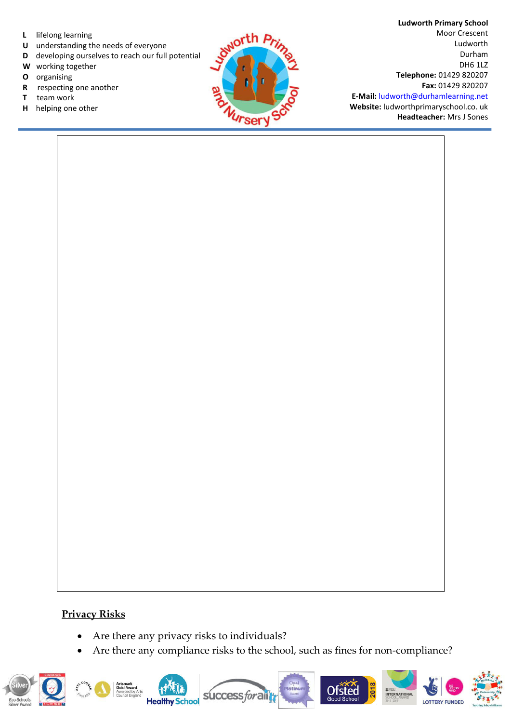- **L** lifelong learning
- **U** understanding the needs of everyone
- **D** developing ourselves to reach our full potential
- **W** working together
- **O** organising
- **R** respecting one another
- **T** team work
- **H** helping one other



**Ludworth Primary School**  Moor Crescent Ludworth Durham DH6 1LZ **Telephone:** 01429 820207 **Fax:** 01429 820207 **E-Mail:** [ludworth@durhamlearning.net](mailto:ludworth@durhamlearning.net)

**Website:** ludworthprimaryschool.co. uk **Headteacher:** Mrs J Sones

## **Privacy Risks**

- Are there any privacy risks to individuals?
- Are there any compliance risks to the school, such as fines for non-compliance?

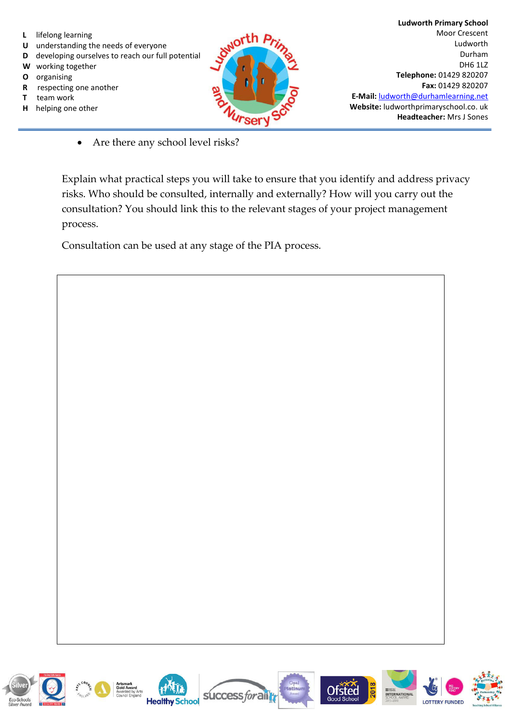

- **U** understanding the needs of everyone
- **D** developing ourselves to reach our full potential
- **W** working together
- **O** organising
- **R** respecting one another
- **T** team work
- **H** helping one other



• Are there any school level risks?

Explain what practical steps you will take to ensure that you identify and address privacy risks. Who should be consulted, internally and externally? How will you carry out the consultation? You should link this to the relevant stages of your project management process.

Consultation can be used at any stage of the PIA process.











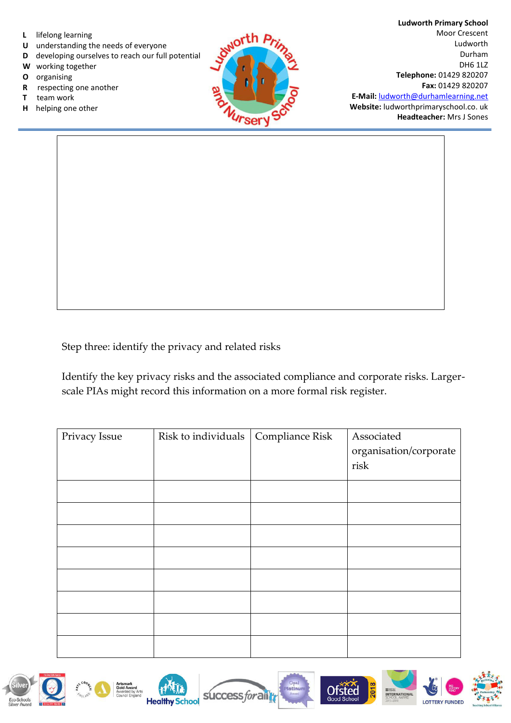

- **U** understanding the needs of everyone
- **D** developing ourselves to reach our full potential
- **W** working together
- **O** organising
- **R** respecting one another
- **T** team work
- **H** helping one other



**Headteacher:** Mrs J Sones

Step three: identify the privacy and related risks

Identify the key privacy risks and the associated compliance and corporate risks. Largerscale PIAs might record this information on a more formal risk register.

| Privacy Issue | Risk to individuals | Compliance Risk | Associated             |
|---------------|---------------------|-----------------|------------------------|
|               |                     |                 | organisation/corporate |
|               |                     |                 | risk                   |
|               |                     |                 |                        |
|               |                     |                 |                        |
|               |                     |                 |                        |
|               |                     |                 |                        |
|               |                     |                 |                        |
|               |                     |                 |                        |
|               |                     |                 |                        |
|               |                     |                 |                        |











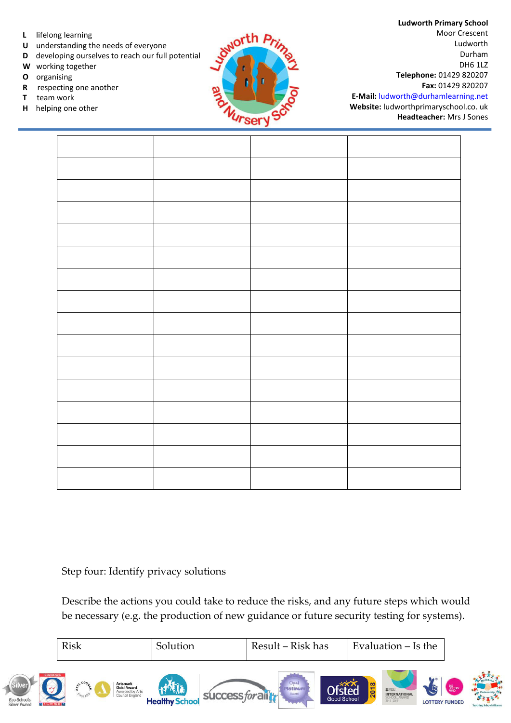- **L** lifelong learning
- **U** understanding the needs of everyone
- **D** developing ourselves to reach our full potential
- **W** working together
- **O** organising
- **R** respecting one another
- **T** team work
- **H** helping one other



**Ludworth Primary School**  Moor Crescent Ludworth Durham DH6 1LZ **Telephone:** 01429 820207 **Fax:** 01429 820207

**E-Mail:** [ludworth@durhamlearning.net](mailto:ludworth@durhamlearning.net) **Website:** ludworthprimaryschool.co. uk **Headteacher:** Mrs J Sones

Step four: Identify privacy solutions

Describe the actions you could take to reduce the risks, and any future steps which would be necessary (e.g. the production of new guidance or future security testing for systems).

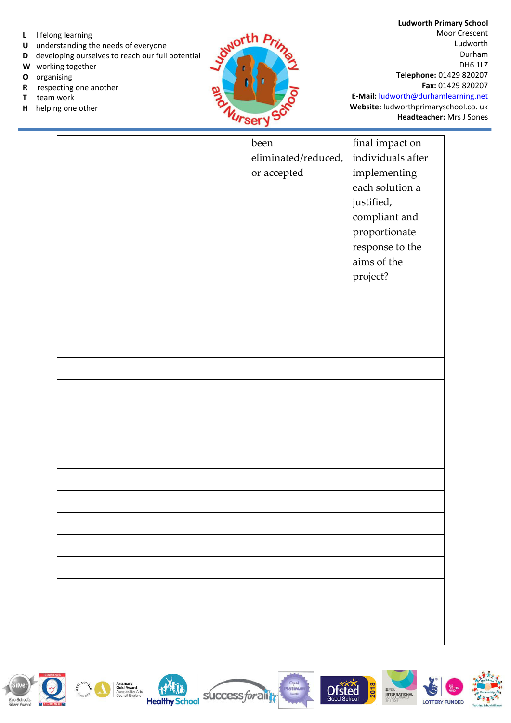- **L** lifelong learning
- **U** understanding the needs of everyone
- **D** developing ourselves to reach our full potential
- **W** working together
- **O** organising
- **R** respecting one another
- **T** team work
- **H** helping one other



|  | been                | final impact on   |
|--|---------------------|-------------------|
|  | eliminated/reduced, | individuals after |
|  | or accepted         | implementing      |
|  |                     | each solution a   |
|  |                     | justified,        |
|  |                     | compliant and     |
|  |                     | proportionate     |
|  |                     | response to the   |
|  |                     |                   |
|  |                     | aims of the       |
|  |                     | project?          |
|  |                     |                   |
|  |                     |                   |
|  |                     |                   |
|  |                     |                   |
|  |                     |                   |
|  |                     |                   |
|  |                     |                   |
|  |                     |                   |
|  |                     |                   |
|  |                     |                   |
|  |                     |                   |
|  |                     |                   |
|  |                     |                   |
|  |                     |                   |
|  |                     |                   |
|  |                     |                   |
|  |                     |                   |
|  |                     |                   |
|  |                     |                   |
|  |                     |                   |
|  |                     |                   |
|  |                     |                   |
|  |                     |                   |
|  |                     |                   |
|  |                     |                   |
|  |                     |                   |

success for all







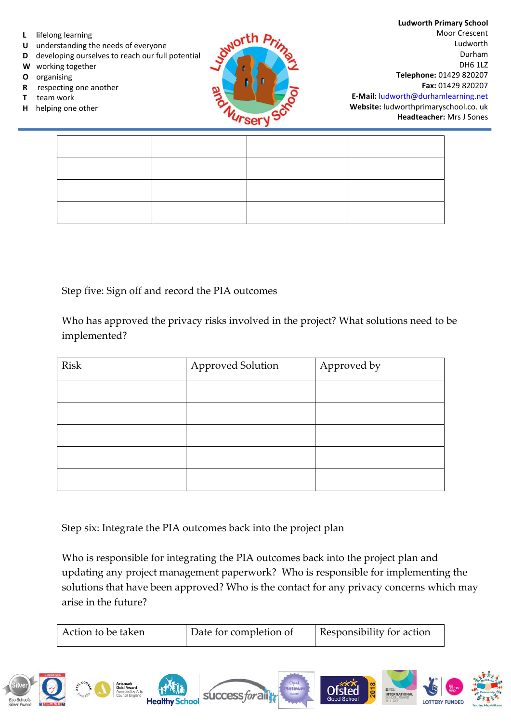

- **U** understanding the needs of everyone
- **D** developing ourselves to reach our full potential
- **W** working together
- **O** organising
- **R** respecting one another
- **T** team work
- **H** helping one other



**Ludworth Primary School**  Moor Crescent Ludworth Durham DH6 1LZ **Telephone:** 01429 820207 **Fax:** 01429 820207 **E-Mail:** [ludworth@durhamlearning.net](mailto:ludworth@durhamlearning.net)

**Website:** ludworthprimaryschool.co. uk **Headteacher:** Mrs J Sones

Step five: Sign off and record the PIA outcomes

Who has approved the privacy risks involved in the project? What solutions need to be implemented?

| <b>Risk</b> | <b>Approved Solution</b> | Approved by |
|-------------|--------------------------|-------------|
|             |                          |             |
|             |                          |             |
|             |                          |             |
|             |                          |             |
|             |                          |             |

Step six: Integrate the PIA outcomes back into the project plan

Who is responsible for integrating the PIA outcomes back into the project plan and updating any project management paperwork? Who is responsible for implementing the solutions that have been approved? Who is the contact for any privacy concerns which may arise in the future?

|                                            | Action to be taken                                                                                           |                       | Date for completion of                          | Responsibility for action                 |                                                                                                                         |                                 |
|--------------------------------------------|--------------------------------------------------------------------------------------------------------------|-----------------------|-------------------------------------------------|-------------------------------------------|-------------------------------------------------------------------------------------------------------------------------|---------------------------------|
| chools<br><b>3 QUALITY MARK 3</b><br>Award | $\frac{1}{2}$<br><b>Artsmark</b><br><b>Gold Award</b><br>Awarded by Arts<br><b>WGLAND</b><br>Council England | <b>Healthy School</b> | Opal<br>Platinum<br>success for all tr<br>Award | Ofsted<br>$\overline{201}$<br>Good School | <b>BIG</b><br>FUND<br>$\epsilon$<br># 802<br><b>INTERNATIONAL</b><br>SCHOOL AWARD<br>2015-2018<br><b>LOTTERY FUNDED</b> | <b>Teaching School Alliance</b> |